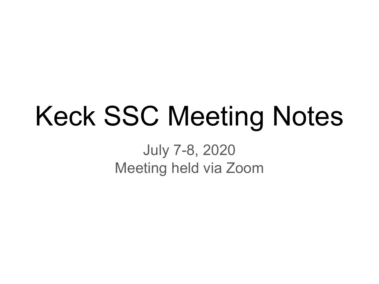# Keck SSC Meeting Notes

July 7-8, 2020 Meeting held via Zoom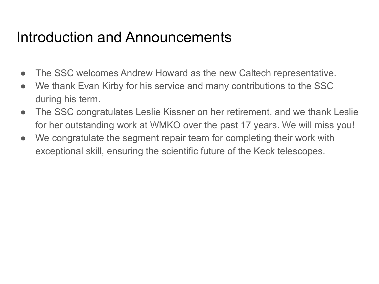## Introduction and Announcements

- The SSC welcomes Andrew Howard as the new Caltech representative.
- We thank Evan Kirby for his service and many contributions to the SSC during his term.
- The SSC congratulates Leslie Kissner on her retirement, and we thank Leslie for her outstanding work at WMKO over the past 17 years. We will miss you!
- We congratulate the segment repair team for completing their work with exceptional skill, ensuring the scientific future of the Keck telescopes.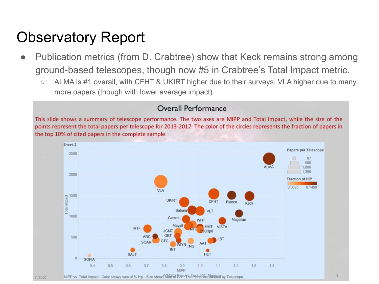- Publication metrics (from D. Crabtree) show that Keck remains strong among ground-based telescopes, though now #5 in Crabtree's Total Impact metric.
	- ALMA is #1 overall, with CFHT & UKIRT higher due to their surveys, VLA higher due to many more papers (though with lower average impact)

#### Overall Performance

This slide shows a summary of telescope performance. The two axes are MIPP and Total Impact, while the size of the points represent the total papers per telescope for 2013-2017. The color of the circles represents the fraction of papers in the top 10% of cited papers in the complete sample

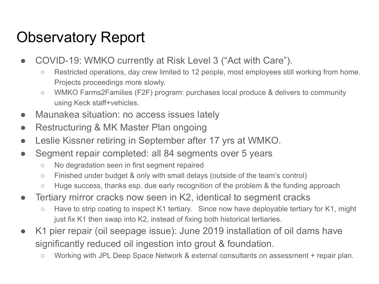- COVID-19: WMKO currently at Risk Level 3 ("Act with Care").
	- Restricted operations, day crew limited to 12 people, most employees still working from home. Projects proceedings more slowly.
	- WMKO Farms2Families (F2F) program: purchases local produce & delivers to community using Keck staff+vehicles.
- Maunakea situation: no access issues lately
- Restructuring & MK Master Plan ongoing
- Leslie Kissner retiring in September after 17 yrs at WMKO.
- Segment repair completed: all 84 segments over 5 years
	- No degradation seen in first segment repaired
	- Finished under budget & only with small delays (outside of the team's control)
	- Huge success, thanks esp. due early recognition of the problem & the funding approach
- Tertiary mirror cracks now seen in K2, identical to segment cracks
	- Have to strip coating to inspect K1 tertiary. Since now have deployable tertiary for K1, might just fix K1 then swap into K2, instead of fixing both historical tertiaries.
- K1 pier repair (oil seepage issue): June 2019 installation of oil dams have significantly reduced oil ingestion into grout & foundation.
	- Working with JPL Deep Space Network & external consultants on assessment + repair plan.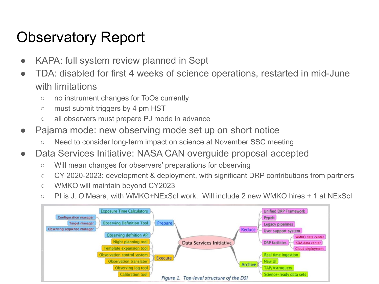- KAPA: full system review planned in Sept
- TDA: disabled for first 4 weeks of science operations, restarted in mid-June with limitations
	- no instrument changes for ToOs currently
	- must submit triggers by 4 pm HST
	- all observers must prepare PJ mode in advance
- Pajama mode: new observing mode set up on short notice
	- Need to consider long-term impact on science at November SSC meeting
- Data Services Initiative: NASA CAN overguide proposal accepted
	- Will mean changes for observers' preparations for observing
	- CY 2020-2023: development & deployment, with significant DRP contributions from partners
	- WMKO will maintain beyond CY2023
	- PI is J. O'Meara, with WMKO+NExScI work. Will include 2 new WMKO hires + 1 at NExScI

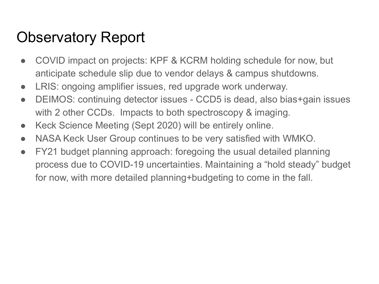- COVID impact on projects: KPF & KCRM holding schedule for now, but anticipate schedule slip due to vendor delays & campus shutdowns.
- LRIS: ongoing amplifier issues, red upgrade work underway.
- DEIMOS: continuing detector issues CCD5 is dead, also bias+gain issues with 2 other CCDs. Impacts to both spectroscopy & imaging.
- Keck Science Meeting (Sept 2020) will be entirely online.
- NASA Keck User Group continues to be very satisfied with WMKO.
- FY21 budget planning approach: foregoing the usual detailed planning process due to COVID-19 uncertainties. Maintaining a "hold steady" budget for now, with more detailed planning+budgeting to come in the fall.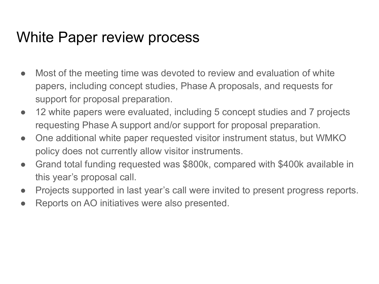## White Paper review process

- Most of the meeting time was devoted to review and evaluation of white papers, including concept studies, Phase A proposals, and requests for support for proposal preparation.
- 12 white papers were evaluated, including 5 concept studies and 7 projects requesting Phase A support and/or support for proposal preparation.
- One additional white paper requested visitor instrument status, but WMKO policy does not currently allow visitor instruments.
- Grand total funding requested was \$800k, compared with \$400k available in this year's proposal call.
- Projects supported in last year's call were invited to present progress reports.
- Reports on AO initiatives were also presented.